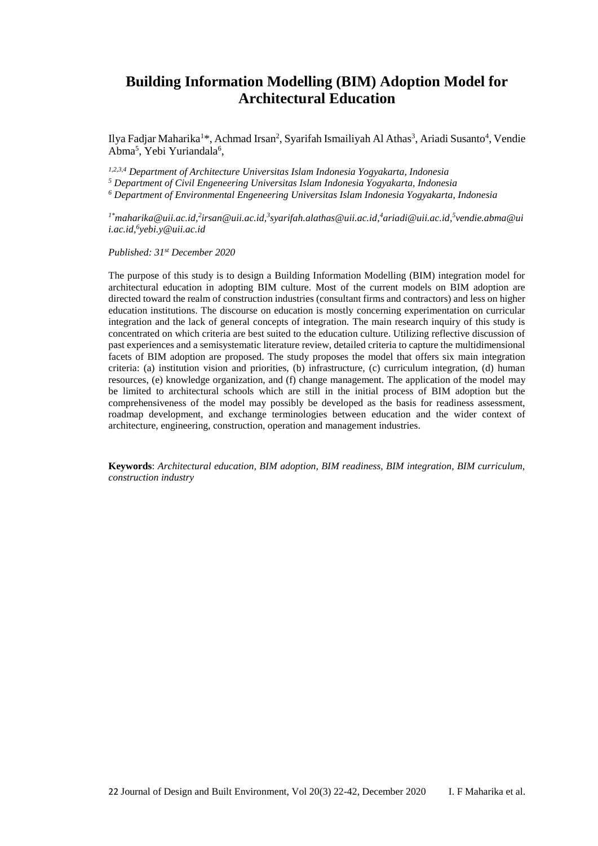# **Building Information Modelling (BIM) Adoption Model for Architectural Education**

Ilya Fadjar Maharika<sup>1\*</sup>, Achmad Irsan<sup>2</sup>, Syarifah Ismailiyah Al Athas<sup>3</sup>, Ariadi Susanto<sup>4</sup>, Vendie Abma<sup>5</sup>, Yebi Yuriandala<sup>6</sup>,

*1,2,3,4 Department of Architecture Universitas Islam Indonesia Yogyakarta, Indonesia*

*<sup>5</sup> Department of Civil Engeneering Universitas Islam Indonesia Yogyakarta, Indonesia*

*<sup>6</sup> Department of Environmental Engeneering Universitas Islam Indonesia Yogyakarta, Indonesia*

*1\*maharika@uii.ac.id, 2 irsan@uii.ac.id, 3 syarifah.alathas@uii.ac.id, <sup>4</sup>ariadi@uii.ac.id, 5 vendie.abma@ui i.ac.id, 6 yebi.y@uii.ac.id*

*Published: 31st December 2020*

The purpose of this study is to design a Building Information Modelling (BIM) integration model for architectural education in adopting BIM culture. Most of the current models on BIM adoption are directed toward the realm of construction industries (consultant firms and contractors) and less on higher education institutions. The discourse on education is mostly concerning experimentation on curricular integration and the lack of general concepts of integration. The main research inquiry of this study is concentrated on which criteria are best suited to the education culture. Utilizing reflective discussion of past experiences and a semisystematic literature review, detailed criteria to capture the multidimensional facets of BIM adoption are proposed. The study proposes the model that offers six main integration criteria: (a) institution vision and priorities, (b) infrastructure, (c) curriculum integration, (d) human resources, (e) knowledge organization, and (f) change management. The application of the model may be limited to architectural schools which are still in the initial process of BIM adoption but the comprehensiveness of the model may possibly be developed as the basis for readiness assessment, roadmap development, and exchange terminologies between education and the wider context of architecture, engineering, construction, operation and management industries.

**Keywords**: *Architectural education, BIM adoption, BIM readiness, BIM integration, BIM curriculum, construction industry*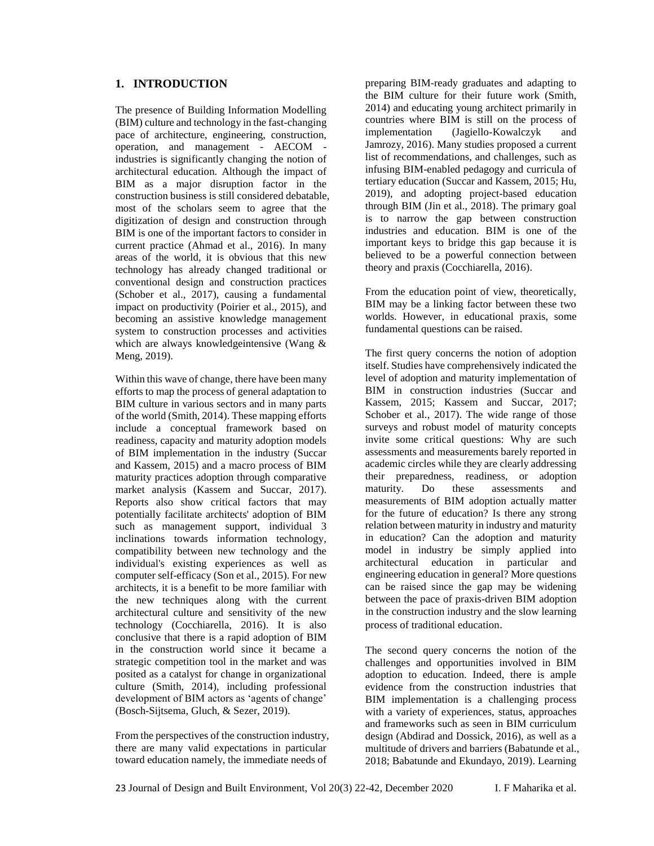## **1. INTRODUCTION**

The presence of Building Information Modelling (BIM) culture and technology in the fast-changing pace of architecture, engineering, construction, operation, and management - AECOM industries is significantly changing the notion of architectural education. Although the impact of BIM as a major disruption factor in the construction business is still considered debatable, most of the scholars seem to agree that the digitization of design and construction through BIM is one of the important factors to consider in current practice (Ahmad et al., 2016). In many areas of the world, it is obvious that this new technology has already changed traditional or conventional design and construction practices (Schober et al., 2017), causing a fundamental impact on productivity (Poirier et al., 2015), and becoming an assistive knowledge management system to construction processes and activities which are always knowledgeintensive (Wang & Meng, 2019).

Within this wave of change, there have been many efforts to map the process of general adaptation to BIM culture in various sectors and in many parts of the world (Smith, 2014). These mapping efforts include a conceptual framework based on readiness, capacity and maturity adoption models of BIM implementation in the industry (Succar and Kassem, 2015) and a macro process of BIM maturity practices adoption through comparative market analysis (Kassem and Succar, 2017). Reports also show critical factors that may potentially facilitate architects' adoption of BIM such as management support, individual 3 inclinations towards information technology, compatibility between new technology and the individual's existing experiences as well as computer self-efficacy (Son et al., 2015). For new architects, it is a benefit to be more familiar with the new techniques along with the current architectural culture and sensitivity of the new technology (Cocchiarella, 2016). It is also conclusive that there is a rapid adoption of BIM in the construction world since it became a strategic competition tool in the market and was posited as a catalyst for change in organizational culture (Smith, 2014), including professional development of BIM actors as 'agents of change' (Bosch-Sijtsema, Gluch, & Sezer, 2019).

From the perspectives of the construction industry, there are many valid expectations in particular toward education namely, the immediate needs of

preparing BIM-ready graduates and adapting to the BIM culture for their future work (Smith, 2014) and educating young architect primarily in countries where BIM is still on the process of implementation (Jagiello-Kowalczyk and Jamrozy, 2016). Many studies proposed a current list of recommendations, and challenges, such as infusing BIM-enabled pedagogy and curricula of tertiary education (Succar and Kassem, 2015; Hu, 2019), and adopting project-based education through BIM (Jin et al., 2018). The primary goal is to narrow the gap between construction industries and education. BIM is one of the important keys to bridge this gap because it is believed to be a powerful connection between theory and praxis (Cocchiarella, 2016).

From the education point of view, theoretically, BIM may be a linking factor between these two worlds. However, in educational praxis, some fundamental questions can be raised.

The first query concerns the notion of adoption itself. Studies have comprehensively indicated the level of adoption and maturity implementation of BIM in construction industries (Succar and Kassem, 2015; Kassem and Succar, 2017; Schober et al., 2017). The wide range of those surveys and robust model of maturity concepts invite some critical questions: Why are such assessments and measurements barely reported in academic circles while they are clearly addressing their preparedness, readiness, or adoption maturity. Do these assessments and measurements of BIM adoption actually matter for the future of education? Is there any strong relation between maturity in industry and maturity in education? Can the adoption and maturity model in industry be simply applied into architectural education in particular and engineering education in general? More questions can be raised since the gap may be widening between the pace of praxis-driven BIM adoption in the construction industry and the slow learning process of traditional education.

The second query concerns the notion of the challenges and opportunities involved in BIM adoption to education. Indeed, there is ample evidence from the construction industries that BIM implementation is a challenging process with a variety of experiences, status, approaches and frameworks such as seen in BIM curriculum design (Abdirad and Dossick, 2016), as well as a multitude of drivers and barriers (Babatunde et al., 2018; Babatunde and Ekundayo, 2019). Learning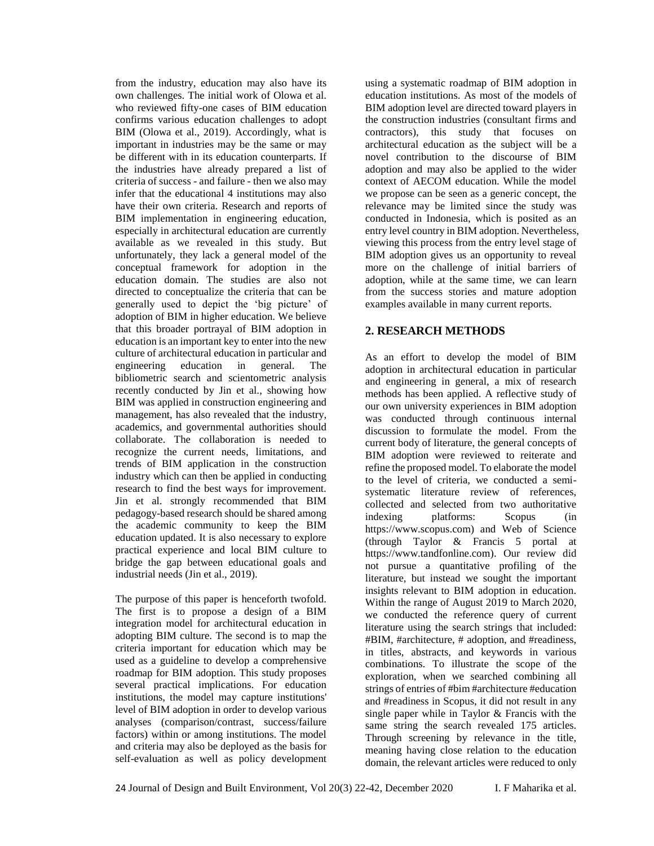from the industry, education may also have its own challenges. The initial work of Olowa et al. who reviewed fifty-one cases of BIM education confirms various education challenges to adopt BIM (Olowa et al., 2019). Accordingly, what is important in industries may be the same or may be different with in its education counterparts. If the industries have already prepared a list of criteria of success - and failure - then we also may infer that the educational 4 institutions may also have their own criteria. Research and reports of BIM implementation in engineering education, especially in architectural education are currently available as we revealed in this study. But unfortunately, they lack a general model of the conceptual framework for adoption in the education domain. The studies are also not directed to conceptualize the criteria that can be generally used to depict the 'big picture' of adoption of BIM in higher education. We believe that this broader portrayal of BIM adoption in education is an important key to enter into the new culture of architectural education in particular and engineering education in general. The bibliometric search and scientometric analysis recently conducted by Jin et al., showing how BIM was applied in construction engineering and management, has also revealed that the industry, academics, and governmental authorities should collaborate. The collaboration is needed to recognize the current needs, limitations, and trends of BIM application in the construction industry which can then be applied in conducting research to find the best ways for improvement. Jin et al. strongly recommended that BIM pedagogy-based research should be shared among the academic community to keep the BIM education updated. It is also necessary to explore practical experience and local BIM culture to bridge the gap between educational goals and industrial needs (Jin et al., 2019).

The purpose of this paper is henceforth twofold. The first is to propose a design of a BIM integration model for architectural education in adopting BIM culture. The second is to map the criteria important for education which may be used as a guideline to develop a comprehensive roadmap for BIM adoption. This study proposes several practical implications. For education institutions, the model may capture institutions' level of BIM adoption in order to develop various analyses (comparison/contrast, success/failure factors) within or among institutions. The model and criteria may also be deployed as the basis for self-evaluation as well as policy development

using a systematic roadmap of BIM adoption in education institutions. As most of the models of BIM adoption level are directed toward players in the construction industries (consultant firms and contractors), this study that focuses on architectural education as the subject will be a novel contribution to the discourse of BIM adoption and may also be applied to the wider context of AECOM education. While the model we propose can be seen as a generic concept, the relevance may be limited since the study was conducted in Indonesia, which is posited as an entry level country in BIM adoption. Nevertheless, viewing this process from the entry level stage of BIM adoption gives us an opportunity to reveal more on the challenge of initial barriers of adoption, while at the same time, we can learn from the success stories and mature adoption examples available in many current reports.

# **2. RESEARCH METHODS**

As an effort to develop the model of BIM adoption in architectural education in particular and engineering in general, a mix of research methods has been applied. A reflective study of our own university experiences in BIM adoption was conducted through continuous internal discussion to formulate the model. From the current body of literature, the general concepts of BIM adoption were reviewed to reiterate and refine the proposed model. To elaborate the model to the level of criteria, we conducted a semisystematic literature review of references, collected and selected from two authoritative indexing platforms: Scopus (in https://www.scopus.com) and Web of Science (through Taylor & Francis 5 portal at https://www.tandfonline.com). Our review did not pursue a quantitative profiling of the literature, but instead we sought the important insights relevant to BIM adoption in education. Within the range of August 2019 to March 2020, we conducted the reference query of current literature using the search strings that included: #BIM, #architecture, # adoption, and #readiness, in titles, abstracts, and keywords in various combinations. To illustrate the scope of the exploration, when we searched combining all strings of entries of #bim #architecture #education and #readiness in Scopus, it did not result in any single paper while in Taylor & Francis with the same string the search revealed 175 articles. Through screening by relevance in the title, meaning having close relation to the education domain, the relevant articles were reduced to only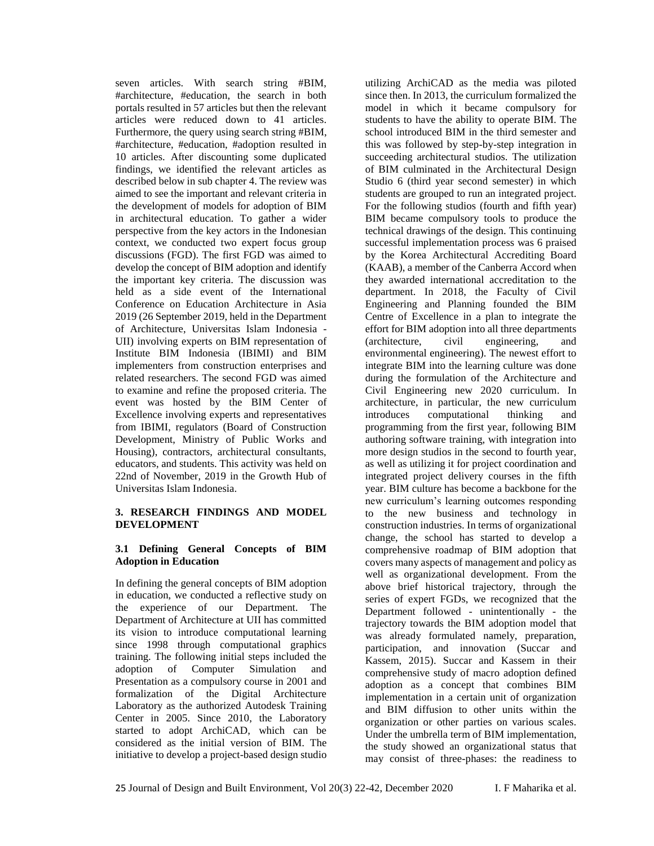seven articles. With search string #BIM, #architecture, #education, the search in both portals resulted in 57 articles but then the relevant articles were reduced down to 41 articles. Furthermore, the query using search string #BIM, #architecture, #education, #adoption resulted in 10 articles. After discounting some duplicated findings, we identified the relevant articles as described below in sub chapter 4. The review was aimed to see the important and relevant criteria in the development of models for adoption of BIM in architectural education. To gather a wider perspective from the key actors in the Indonesian context, we conducted two expert focus group discussions (FGD). The first FGD was aimed to develop the concept of BIM adoption and identify the important key criteria. The discussion was held as a side event of the International Conference on Education Architecture in Asia 2019 (26 September 2019, held in the Department of Architecture, Universitas Islam Indonesia - UII) involving experts on BIM representation of Institute BIM Indonesia (IBIMI) and BIM implementers from construction enterprises and related researchers. The second FGD was aimed to examine and refine the proposed criteria. The event was hosted by the BIM Center of Excellence involving experts and representatives from IBIMI, regulators (Board of Construction Development, Ministry of Public Works and Housing), contractors, architectural consultants, educators, and students. This activity was held on 22nd of November, 2019 in the Growth Hub of Universitas Islam Indonesia.

#### **3. RESEARCH FINDINGS AND MODEL DEVELOPMENT**

## **3.1 Defining General Concepts of BIM Adoption in Education**

In defining the general concepts of BIM adoption in education, we conducted a reflective study on the experience of our Department. The Department of Architecture at UII has committed its vision to introduce computational learning since 1998 through computational graphics training. The following initial steps included the adoption of Computer Simulation and Presentation as a compulsory course in 2001 and formalization of the Digital Architecture Laboratory as the authorized Autodesk Training Center in 2005. Since 2010, the Laboratory started to adopt ArchiCAD, which can be considered as the initial version of BIM. The initiative to develop a project-based design studio

utilizing ArchiCAD as the media was piloted since then. In 2013, the curriculum formalized the model in which it became compulsory for students to have the ability to operate BIM. The school introduced BIM in the third semester and this was followed by step-by-step integration in succeeding architectural studios. The utilization of BIM culminated in the Architectural Design Studio 6 (third year second semester) in which students are grouped to run an integrated project. For the following studios (fourth and fifth year) BIM became compulsory tools to produce the technical drawings of the design. This continuing successful implementation process was 6 praised by the Korea Architectural Accrediting Board (KAAB), a member of the Canberra Accord when they awarded international accreditation to the department. In 2018, the Faculty of Civil Engineering and Planning founded the BIM Centre of Excellence in a plan to integrate the effort for BIM adoption into all three departments (architecture, civil engineering, and environmental engineering). The newest effort to integrate BIM into the learning culture was done during the formulation of the Architecture and Civil Engineering new 2020 curriculum. In architecture, in particular, the new curriculum introduces computational thinking and programming from the first year, following BIM authoring software training, with integration into more design studios in the second to fourth year, as well as utilizing it for project coordination and integrated project delivery courses in the fifth year. BIM culture has become a backbone for the new curriculum's learning outcomes responding to the new business and technology in construction industries. In terms of organizational change, the school has started to develop a comprehensive roadmap of BIM adoption that covers many aspects of management and policy as well as organizational development. From the above brief historical trajectory, through the series of expert FGDs, we recognized that the Department followed - unintentionally - the trajectory towards the BIM adoption model that was already formulated namely, preparation, participation, and innovation (Succar and Kassem, 2015). Succar and Kassem in their comprehensive study of macro adoption defined adoption as a concept that combines BIM implementation in a certain unit of organization and BIM diffusion to other units within the organization or other parties on various scales. Under the umbrella term of BIM implementation, the study showed an organizational status that may consist of three-phases: the readiness to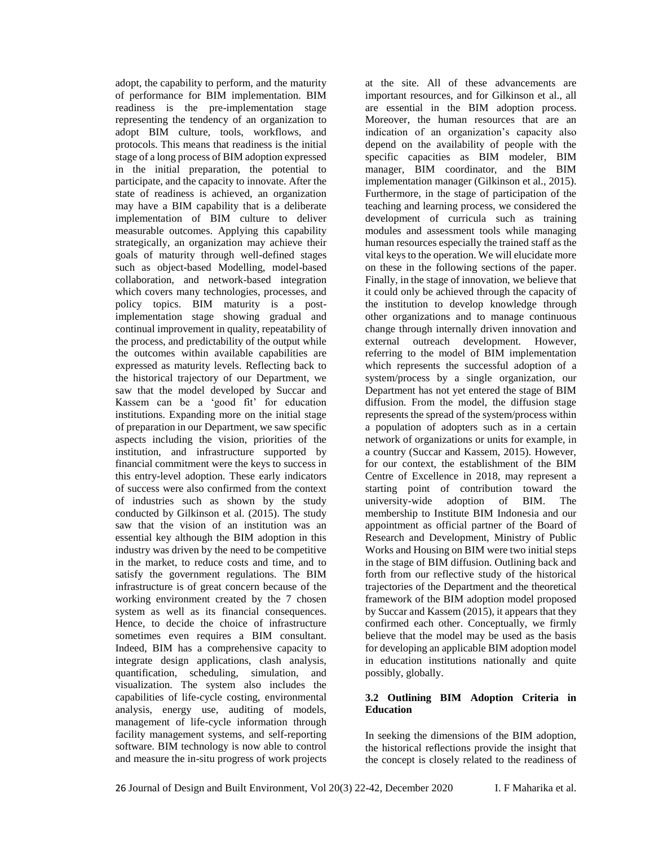adopt, the capability to perform, and the maturity of performance for BIM implementation. BIM readiness is the pre-implementation stage representing the tendency of an organization to adopt BIM culture, tools, workflows, and protocols. This means that readiness is the initial stage of a long process of BIM adoption expressed in the initial preparation, the potential to participate, and the capacity to innovate. After the state of readiness is achieved, an organization may have a BIM capability that is a deliberate implementation of BIM culture to deliver measurable outcomes. Applying this capability strategically, an organization may achieve their goals of maturity through well-defined stages such as object-based Modelling, model-based collaboration, and network-based integration which covers many technologies, processes, and policy topics. BIM maturity is a postimplementation stage showing gradual and continual improvement in quality, repeatability of the process, and predictability of the output while the outcomes within available capabilities are expressed as maturity levels. Reflecting back to the historical trajectory of our Department, we saw that the model developed by Succar and Kassem can be a 'good fit' for education institutions. Expanding more on the initial stage of preparation in our Department, we saw specific aspects including the vision, priorities of the institution, and infrastructure supported by financial commitment were the keys to success in this entry-level adoption. These early indicators of success were also confirmed from the context of industries such as shown by the study conducted by Gilkinson et al. (2015). The study saw that the vision of an institution was an essential key although the BIM adoption in this industry was driven by the need to be competitive in the market, to reduce costs and time, and to satisfy the government regulations. The BIM infrastructure is of great concern because of the working environment created by the 7 chosen system as well as its financial consequences. Hence, to decide the choice of infrastructure sometimes even requires a BIM consultant. Indeed, BIM has a comprehensive capacity to integrate design applications, clash analysis, quantification, scheduling, simulation, and visualization. The system also includes the capabilities of life-cycle costing, environmental analysis, energy use, auditing of models, management of life-cycle information through facility management systems, and self-reporting software. BIM technology is now able to control and measure the in-situ progress of work projects

at the site. All of these advancements are important resources, and for Gilkinson et al., all are essential in the BIM adoption process. Moreover, the human resources that are an indication of an organization's capacity also depend on the availability of people with the specific capacities as BIM modeler, BIM manager, BIM coordinator, and the BIM implementation manager (Gilkinson et al., 2015). Furthermore, in the stage of participation of the teaching and learning process, we considered the development of curricula such as training modules and assessment tools while managing human resources especially the trained staff as the vital keys to the operation. We will elucidate more on these in the following sections of the paper. Finally, in the stage of innovation, we believe that it could only be achieved through the capacity of the institution to develop knowledge through other organizations and to manage continuous change through internally driven innovation and external outreach development. However, referring to the model of BIM implementation which represents the successful adoption of a system/process by a single organization, our Department has not yet entered the stage of BIM diffusion. From the model, the diffusion stage represents the spread of the system/process within a population of adopters such as in a certain network of organizations or units for example, in a country (Succar and Kassem, 2015). However, for our context, the establishment of the BIM Centre of Excellence in 2018, may represent a starting point of contribution toward the university-wide adoption of BIM. The membership to Institute BIM Indonesia and our appointment as official partner of the Board of Research and Development, Ministry of Public Works and Housing on BIM were two initial steps in the stage of BIM diffusion. Outlining back and forth from our reflective study of the historical trajectories of the Department and the theoretical framework of the BIM adoption model proposed by Succar and Kassem (2015), it appears that they confirmed each other. Conceptually, we firmly believe that the model may be used as the basis for developing an applicable BIM adoption model in education institutions nationally and quite possibly, globally.

## **3.2 Outlining BIM Adoption Criteria in Education**

In seeking the dimensions of the BIM adoption, the historical reflections provide the insight that the concept is closely related to the readiness of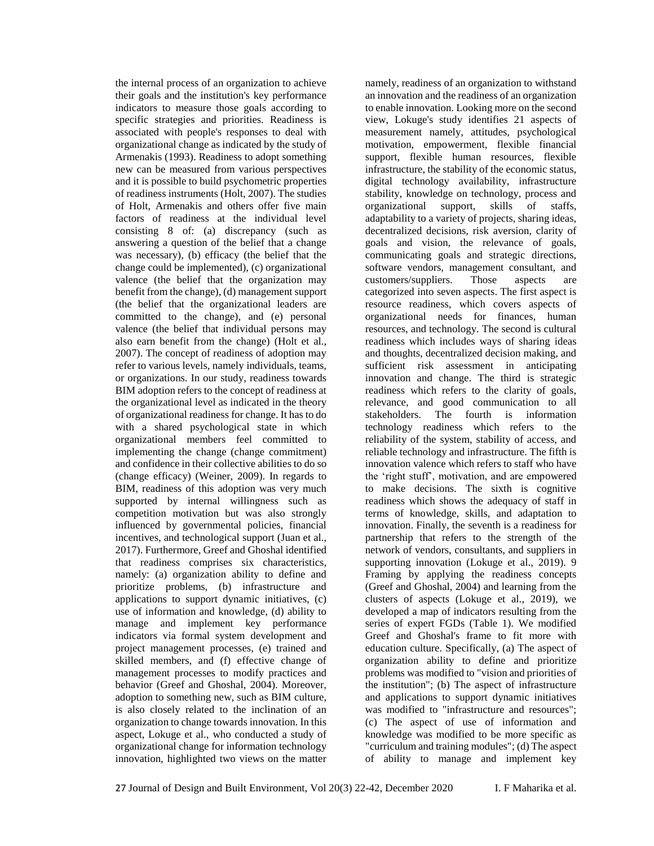the internal process of an organization to achieve their goals and the institution's key performance indicators to measure those goals according to specific strategies and priorities. Readiness is associated with people's responses to deal with organizational change as indicated by the study of Armenakis (1993). Readiness to adopt something new can be measured from various perspectives and it is possible to build psychometric properties of readiness instruments (Holt, 2007). The studies of Holt, Armenakis and others offer five main factors of readiness at the individual level consisting 8 of: (a) discrepancy (such as answering a question of the belief that a change was necessary), (b) efficacy (the belief that the change could be implemented), (c) organizational valence (the belief that the organization may benefit from the change), (d) management support (the belief that the organizational leaders are committed to the change), and (e) personal valence (the belief that individual persons may also earn benefit from the change) (Holt et al., 2007). The concept of readiness of adoption may refer to various levels, namely individuals, teams, or organizations. In our study, readiness towards BIM adoption refers to the concept of readiness at the organizational level as indicated in the theory of organizational readiness for change. It has to do with a shared psychological state in which organizational members feel committed to implementing the change (change commitment) and confidence in their collective abilities to do so (change efficacy) (Weiner, 2009). In regards to BIM, readiness of this adoption was very much supported by internal willingness such as competition motivation but was also strongly influenced by governmental policies, financial incentives, and technological support (Juan et al., 2017). Furthermore, Greef and Ghoshal identified that readiness comprises six characteristics, namely: (a) organization ability to define and prioritize problems, (b) infrastructure and applications to support dynamic initiatives, (c) use of information and knowledge, (d) ability to manage and implement key performance indicators via formal system development and project management processes, (e) trained and skilled members, and (f) effective change of management processes to modify practices and behavior (Greef and Ghoshal, 2004). Moreover, adoption to something new, such as BIM culture, is also closely related to the inclination of an organization to change towards innovation. In this aspect, Lokuge et al., who conducted a study of organizational change for information technology innovation, highlighted two views on the matter

namely, readiness of an organization to withstand an innovation and the readiness of an organization to enable innovation. Looking more on the second view, Lokuge's study identifies 21 aspects of measurement namely, attitudes, psychological motivation, empowerment, flexible financial support, flexible human resources, flexible infrastructure, the stability of the economic status, digital technology availability, infrastructure stability, knowledge on technology, process and organizational support, skills of staffs, adaptability to a variety of projects, sharing ideas, decentralized decisions, risk aversion, clarity of goals and vision, the relevance of goals, communicating goals and strategic directions, software vendors, management consultant, and customers/suppliers. Those aspects are categorized into seven aspects. The first aspect is resource readiness, which covers aspects of organizational needs for finances, human resources, and technology. The second is cultural readiness which includes ways of sharing ideas and thoughts, decentralized decision making, and sufficient risk assessment in anticipating innovation and change. The third is strategic readiness which refers to the clarity of goals, relevance, and good communication to all stakeholders. The fourth is information technology readiness which refers to the reliability of the system, stability of access, and reliable technology and infrastructure. The fifth is innovation valence which refers to staff who have the 'right stuff', motivation, and are empowered to make decisions. The sixth is cognitive readiness which shows the adequacy of staff in terms of knowledge, skills, and adaptation to innovation. Finally, the seventh is a readiness for partnership that refers to the strength of the network of vendors, consultants, and suppliers in supporting innovation (Lokuge et al., 2019). 9 Framing by applying the readiness concepts (Greef and Ghoshal, 2004) and learning from the clusters of aspects (Lokuge et al., 2019), we developed a map of indicators resulting from the series of expert FGDs (Table 1). We modified Greef and Ghoshal's frame to fit more with education culture. Specifically, (a) The aspect of organization ability to define and prioritize problems was modified to "vision and priorities of the institution"; (b) The aspect of infrastructure and applications to support dynamic initiatives was modified to "infrastructure and resources"; (c) The aspect of use of information and knowledge was modified to be more specific as "curriculum and training modules"; (d) The aspect of ability to manage and implement key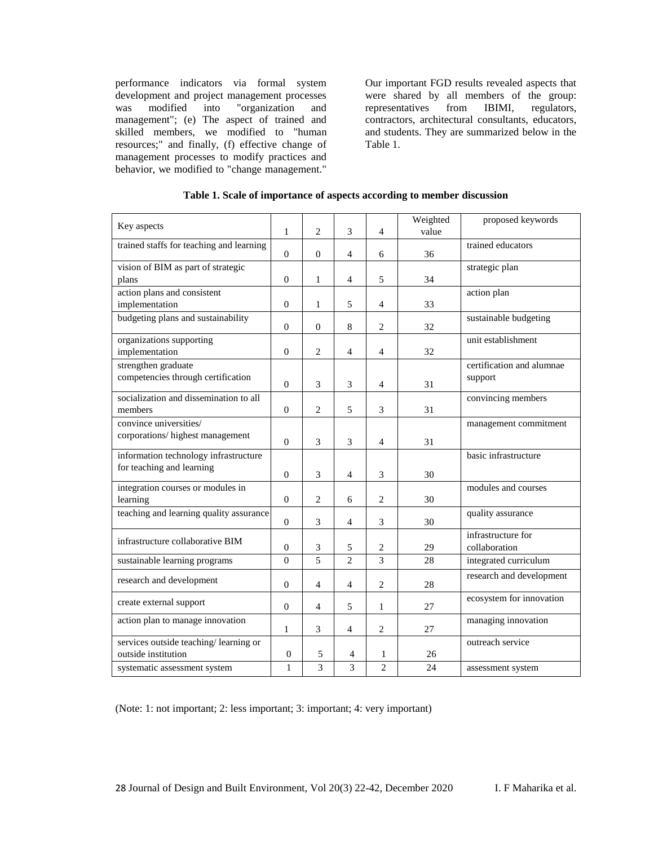performance indicators via formal system development and project management processes was modified into "organization and management"; (e) The aspect of trained and skilled members, we modified to "human resources;" and finally, (f) effective change of management processes to modify practices and behavior, we modified to "change management."

Our important FGD results revealed aspects that were shared by all members of the group:<br>representatives from IBIMI, regulators, representatives from IBIMI, regulators, contractors, architectural consultants, educators, and students. They are summarized below in the Table 1.

| Key aspects                                                        | $\mathbf{1}$ | $\mathfrak{D}$ | 3              | 4              | Weighted<br>value | proposed keywords                    |  |
|--------------------------------------------------------------------|--------------|----------------|----------------|----------------|-------------------|--------------------------------------|--|
| trained staffs for teaching and learning                           | $\Omega$     | $\mathbf{0}$   | $\overline{4}$ | 6              | 36                | trained educators                    |  |
| vision of BIM as part of strategic<br>plans                        | $\mathbf{0}$ | 1              | $\overline{4}$ | 5              | 34                | strategic plan                       |  |
| action plans and consistent<br>implementation                      | $\mathbf{0}$ | 1              | 5              | 4              | 33                | action plan                          |  |
| budgeting plans and sustainability                                 | $\mathbf{0}$ | $\overline{0}$ | 8              | $\overline{2}$ | 32                | sustainable budgeting                |  |
| organizations supporting<br>implementation                         | $\mathbf{0}$ | $\overline{2}$ | 4              | $\overline{4}$ | 32                | unit establishment                   |  |
| strengthen graduate<br>competencies through certification          | $\mathbf{0}$ | 3              | 3              | 4              | 31                | certification and alumnae<br>support |  |
| socialization and dissemination to all<br>members                  | $\theta$     | $\overline{2}$ | 5              | 3              | 31                | convincing members                   |  |
| convince universities/<br>corporations/highest management          | $\Omega$     | 3              | 3              | $\overline{4}$ | 31                | management commitment                |  |
| information technology infrastructure<br>for teaching and learning | $\mathbf{0}$ | 3              | $\overline{4}$ | 3              | 30                | basic infrastructure                 |  |
| integration courses or modules in<br>learning                      | $\Omega$     | $\overline{2}$ | 6              | 2              | 30                | modules and courses                  |  |
| teaching and learning quality assurance                            | $\theta$     | 3              | $\overline{4}$ | 3              | 30                | quality assurance                    |  |
| infrastructure collaborative BIM                                   | $\Omega$     | 3              | 5              | $\overline{2}$ | 29                | infrastructure for<br>collaboration  |  |
| sustainable learning programs                                      | $\theta$     | 5              | $\overline{2}$ | 3              | 28                | integrated curriculum                |  |
| research and development                                           | $\Omega$     | $\overline{4}$ | $\overline{4}$ | $\overline{2}$ | 28                | research and development             |  |
| create external support                                            | $\mathbf{0}$ | $\overline{4}$ | 5              | $\mathbf{1}$   | 27                | ecosystem for innovation             |  |
| action plan to manage innovation                                   | 1            | 3              | 4              | $\overline{2}$ | 27                | managing innovation                  |  |
| services outside teaching/learning or<br>outside institution       | 0            | 5              | 4              | $\mathbf{1}$   | 26                | outreach service                     |  |
| systematic assessment system                                       | $\mathbf{1}$ | $\overline{3}$ | 3              | $\overline{c}$ | 24                | assessment system                    |  |

#### **Table 1. Scale of importance of aspects according to member discussion**

(Note: 1: not important; 2: less important; 3: important; 4: very important)

28 Journal of Design and Built Environment, Vol 20(3) 22-42, December 2020 I. F Maharika et al.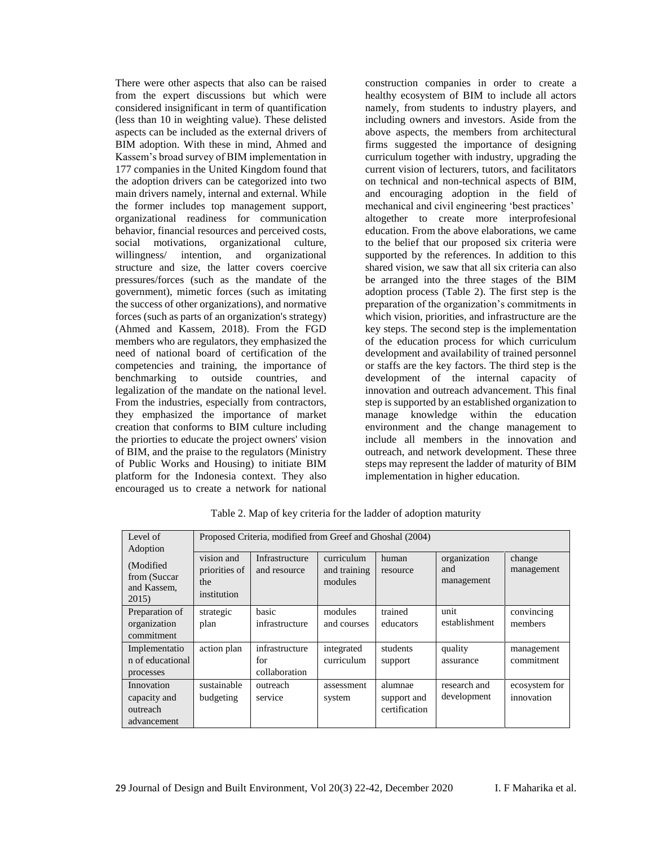There were other aspects that also can be raised from the expert discussions but which were considered insignificant in term of quantification (less than 10 in weighting value). These delisted aspects can be included as the external drivers of BIM adoption. With these in mind, Ahmed and Kassem's broad survey of BIM implementation in 177 companies in the United Kingdom found that the adoption drivers can be categorized into two main drivers namely, internal and external. While the former includes top management support, organizational readiness for communication behavior, financial resources and perceived costs, social motivations, organizational culture, willingness/ intention, and organizational structure and size, the latter covers coercive pressures/forces (such as the mandate of the government), mimetic forces (such as imitating the success of other organizations), and normative forces (such as parts of an organization's strategy) (Ahmed and Kassem, 2018). From the FGD members who are regulators, they emphasized the need of national board of certification of the competencies and training, the importance of benchmarking to outside countries, and legalization of the mandate on the national level. From the industries, especially from contractors, they emphasized the importance of market creation that conforms to BIM culture including the priorties to educate the project owners' vision of BIM, and the praise to the regulators (Ministry of Public Works and Housing) to initiate BIM platform for the Indonesia context. They also encouraged us to create a network for national

construction companies in order to create a healthy ecosystem of BIM to include all actors namely, from students to industry players, and including owners and investors. Aside from the above aspects, the members from architectural firms suggested the importance of designing curriculum together with industry, upgrading the current vision of lecturers, tutors, and facilitators on technical and non-technical aspects of BIM, and encouraging adoption in the field of mechanical and civil engineering 'best practices' altogether to create more interprofesional education. From the above elaborations, we came to the belief that our proposed six criteria were supported by the references. In addition to this shared vision, we saw that all six criteria can also be arranged into the three stages of the BIM adoption process (Table 2). The first step is the preparation of the organization's commitments in which vision, priorities, and infrastructure are the key steps. The second step is the implementation of the education process for which curriculum development and availability of trained personnel or staffs are the key factors. The third step is the development of the internal capacity of innovation and outreach advancement. This final step is supported by an established organization to manage knowledge within the education environment and the change management to include all members in the innovation and outreach, and network development. These three steps may represent the ladder of maturity of BIM implementation in higher education.

| Level of<br>Adoption                                  | Proposed Criteria, modified from Greef and Ghoshal (2004) |                                        |                                       |                                         |                                   |                             |  |  |  |
|-------------------------------------------------------|-----------------------------------------------------------|----------------------------------------|---------------------------------------|-----------------------------------------|-----------------------------------|-----------------------------|--|--|--|
| (Modified)<br>from (Succar<br>and Kassem,<br>2015)    | vision and<br>priorities of<br>the<br>institution         | Infrastructure<br>and resource         | curriculum<br>and training<br>modules | human<br>resource                       | organization<br>and<br>management | change<br>management        |  |  |  |
| Preparation of<br>organization<br>commitment          | strategic<br>plan                                         | basic<br>infrastructure                | modules<br>and courses                | trained<br>educators                    | unit<br>establishment             | convincing<br>members       |  |  |  |
| Implementatio<br>n of educational<br>processes        | action plan                                               | infrastructure<br>for<br>collaboration | integrated<br>curriculum              | students<br>support                     | quality<br>assurance              | management<br>commitment    |  |  |  |
| Innovation<br>capacity and<br>outreach<br>advancement | sustainable<br>budgeting                                  | outreach<br>service                    | assessment<br>system                  | alumnae<br>support and<br>certification | research and<br>development       | ecosystem for<br>innovation |  |  |  |

Table 2. Map of key criteria for the ladder of adoption maturity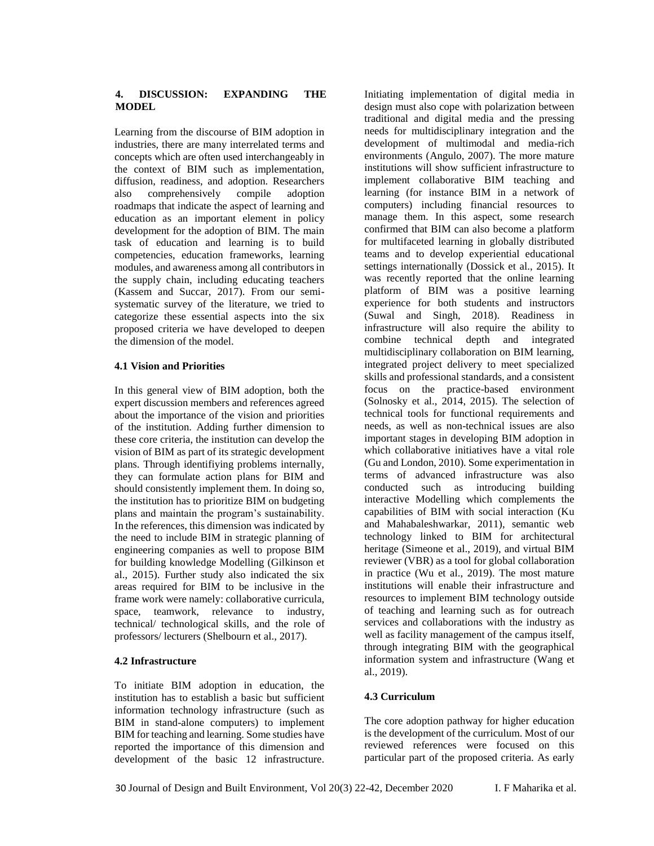#### **4. DISCUSSION: EXPANDING THE MODEL**

Learning from the discourse of BIM adoption in industries, there are many interrelated terms and concepts which are often used interchangeably in the context of BIM such as implementation, diffusion, readiness, and adoption. Researchers also comprehensively compile adoption roadmaps that indicate the aspect of learning and education as an important element in policy development for the adoption of BIM. The main task of education and learning is to build competencies, education frameworks, learning modules, and awareness among all contributors in the supply chain, including educating teachers (Kassem and Succar, 2017). From our semisystematic survey of the literature, we tried to categorize these essential aspects into the six proposed criteria we have developed to deepen the dimension of the model.

#### **4.1 Vision and Priorities**

In this general view of BIM adoption, both the expert discussion members and references agreed about the importance of the vision and priorities of the institution. Adding further dimension to these core criteria, the institution can develop the vision of BIM as part of its strategic development plans. Through identifiying problems internally, they can formulate action plans for BIM and should consistently implement them. In doing so, the institution has to prioritize BIM on budgeting plans and maintain the program's sustainability. In the references, this dimension was indicated by the need to include BIM in strategic planning of engineering companies as well to propose BIM for building knowledge Modelling (Gilkinson et al., 2015). Further study also indicated the six areas required for BIM to be inclusive in the frame work were namely: collaborative curricula, space, teamwork, relevance to industry, technical/ technological skills, and the role of professors/ lecturers (Shelbourn et al., 2017).

## **4.2 Infrastructure**

To initiate BIM adoption in education, the institution has to establish a basic but sufficient information technology infrastructure (such as BIM in stand-alone computers) to implement BIM for teaching and learning. Some studies have reported the importance of this dimension and development of the basic 12 infrastructure. Initiating implementation of digital media in design must also cope with polarization between traditional and digital media and the pressing needs for multidisciplinary integration and the development of multimodal and media-rich environments (Angulo, 2007). The more mature institutions will show sufficient infrastructure to implement collaborative BIM teaching and learning (for instance BIM in a network of computers) including financial resources to manage them. In this aspect, some research confirmed that BIM can also become a platform for multifaceted learning in globally distributed teams and to develop experiential educational settings internationally (Dossick et al., 2015). It was recently reported that the online learning platform of BIM was a positive learning experience for both students and instructors (Suwal and Singh, 2018). Readiness in infrastructure will also require the ability to combine technical depth and integrated multidisciplinary collaboration on BIM learning, integrated project delivery to meet specialized skills and professional standards, and a consistent focus on the practice-based environment (Solnosky et al., 2014, 2015). The selection of technical tools for functional requirements and needs, as well as non-technical issues are also important stages in developing BIM adoption in which collaborative initiatives have a vital role (Gu and London, 2010). Some experimentation in terms of advanced infrastructure was also conducted such as introducing building interactive Modelling which complements the capabilities of BIM with social interaction (Ku and Mahabaleshwarkar, 2011), semantic web technology linked to BIM for architectural heritage (Simeone et al., 2019), and virtual BIM reviewer (VBR) as a tool for global collaboration in practice (Wu et al., 2019). The most mature institutions will enable their infrastructure and resources to implement BIM technology outside of teaching and learning such as for outreach services and collaborations with the industry as well as facility management of the campus itself, through integrating BIM with the geographical information system and infrastructure (Wang et al., 2019).

## **4.3 Curriculum**

The core adoption pathway for higher education is the development of the curriculum. Most of our reviewed references were focused on this particular part of the proposed criteria. As early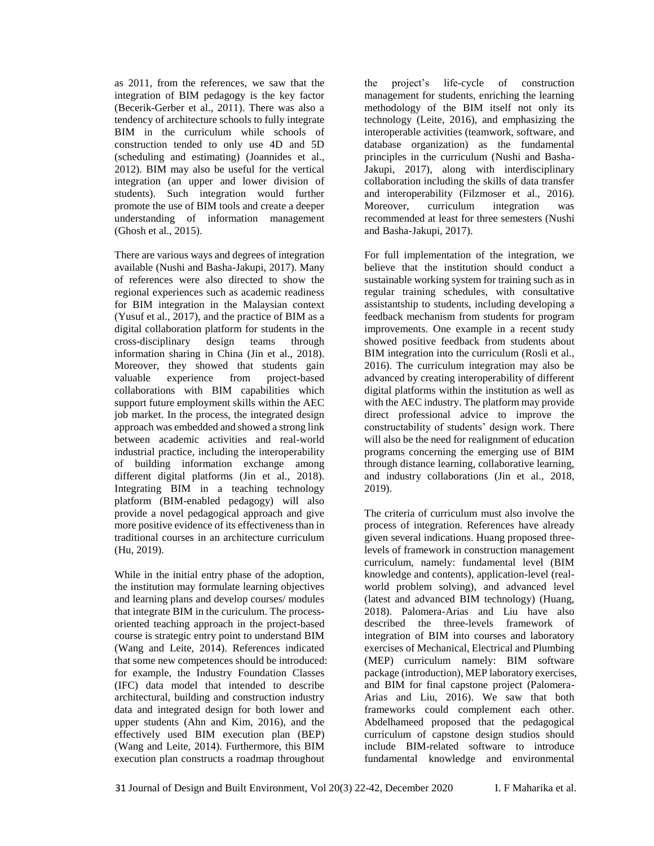as 2011, from the references, we saw that the integration of BIM pedagogy is the key factor (Becerik-Gerber et al., 2011). There was also a tendency of architecture schools to fully integrate BIM in the curriculum while schools of construction tended to only use 4D and 5D (scheduling and estimating) (Joannides et al., 2012). BIM may also be useful for the vertical integration (an upper and lower division of students). Such integration would further promote the use of BIM tools and create a deeper understanding of information management (Ghosh et al., 2015).

There are various ways and degrees of integration available (Nushi and Basha-Jakupi, 2017). Many of references were also directed to show the regional experiences such as academic readiness for BIM integration in the Malaysian context (Yusuf et al., 2017), and the practice of BIM as a digital collaboration platform for students in the cross-disciplinary design teams through information sharing in China (Jin et al., 2018). Moreover, they showed that students gain valuable experience from project-based collaborations with BIM capabilities which support future employment skills within the AEC job market. In the process, the integrated design approach was embedded and showed a strong link between academic activities and real-world industrial practice, including the interoperability of building information exchange among different digital platforms (Jin et al., 2018). Integrating BIM in a teaching technology platform (BIM-enabled pedagogy) will also provide a novel pedagogical approach and give more positive evidence of its effectiveness than in traditional courses in an architecture curriculum (Hu, 2019).

While in the initial entry phase of the adoption, the institution may formulate learning objectives and learning plans and develop courses/ modules that integrate BIM in the curiculum. The processoriented teaching approach in the project-based course is strategic entry point to understand BIM (Wang and Leite, 2014). References indicated that some new competences should be introduced: for example, the Industry Foundation Classes (IFC) data model that intended to describe architectural, building and construction industry data and integrated design for both lower and upper students (Ahn and Kim, 2016), and the effectively used BIM execution plan (BEP) (Wang and Leite, 2014). Furthermore, this BIM execution plan constructs a roadmap throughout

the project's life-cycle of construction management for students, enriching the learning methodology of the BIM itself not only its technology (Leite, 2016), and emphasizing the interoperable activities (teamwork, software, and database organization) as the fundamental principles in the curriculum (Nushi and Basha-Jakupi, 2017), along with interdisciplinary collaboration including the skills of data transfer and interoperability (Filzmoser et al., 2016). Moreover, curriculum integration was recommended at least for three semesters (Nushi and Basha-Jakupi, 2017).

For full implementation of the integration, we believe that the institution should conduct a sustainable working system for training such as in regular training schedules, with consultative assistantship to students, including developing a feedback mechanism from students for program improvements. One example in a recent study showed positive feedback from students about BIM integration into the curriculum (Rosli et al., 2016). The curriculum integration may also be advanced by creating interoperability of different digital platforms within the institution as well as with the AEC industry. The platform may provide direct professional advice to improve the constructability of students' design work. There will also be the need for realignment of education programs concerning the emerging use of BIM through distance learning, collaborative learning, and industry collaborations (Jin et al., 2018, 2019).

The criteria of curriculum must also involve the process of integration. References have already given several indications. Huang proposed threelevels of framework in construction management curriculum, namely: fundamental level (BIM knowledge and contents), application-level (realworld problem solving), and advanced level (latest and advanced BIM technology) (Huang, 2018). Palomera-Arias and Liu have also described the three-levels framework of integration of BIM into courses and laboratory exercises of Mechanical, Electrical and Plumbing (MEP) curriculum namely: BIM software package (introduction), MEP laboratory exercises, and BIM for final capstone project (Palomera-Arias and Liu, 2016). We saw that both frameworks could complement each other. Abdelhameed proposed that the pedagogical curriculum of capstone design studios should include BIM-related software to introduce fundamental knowledge and environmental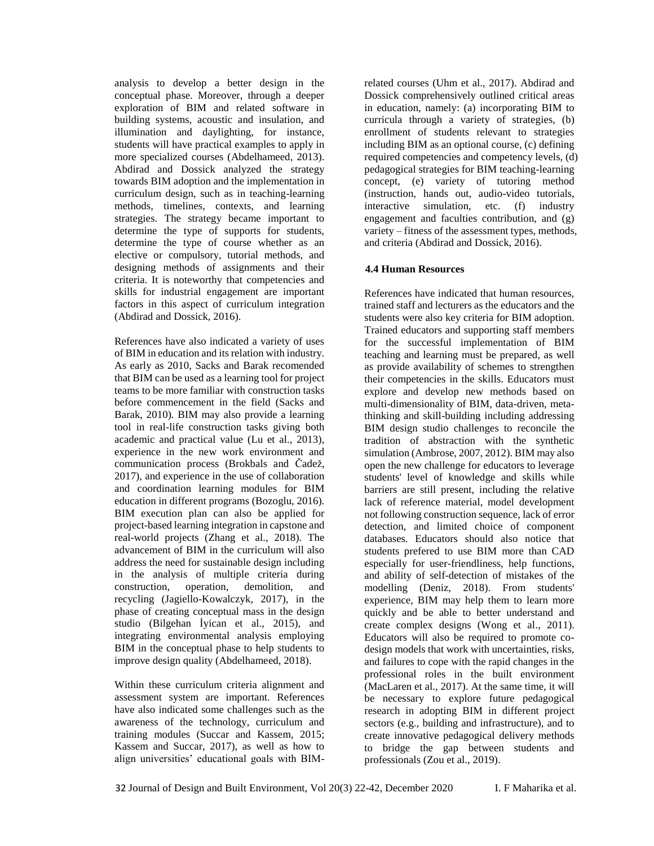analysis to develop a better design in the conceptual phase. Moreover, through a deeper exploration of BIM and related software in building systems, acoustic and insulation, and illumination and daylighting, for instance, students will have practical examples to apply in more specialized courses (Abdelhameed, 2013). Abdirad and Dossick analyzed the strategy towards BIM adoption and the implementation in curriculum design, such as in teaching-learning methods, timelines, contexts, and learning strategies. The strategy became important to determine the type of supports for students, determine the type of course whether as an elective or compulsory, tutorial methods, and designing methods of assignments and their criteria. It is noteworthy that competencies and skills for industrial engagement are important factors in this aspect of curriculum integration (Abdirad and Dossick, 2016).

References have also indicated a variety of uses of BIM in education and its relation with industry. As early as 2010, Sacks and Barak recomended that BIM can be used as a learning tool for project teams to be more familiar with construction tasks before commencement in the field (Sacks and Barak, 2010). BIM may also provide a learning tool in real-life construction tasks giving both academic and practical value (Lu et al., 2013), experience in the new work environment and communication process (Brokbals and Čadež, 2017), and experience in the use of collaboration and coordination learning modules for BIM education in different programs (Bozoglu, 2016). BIM execution plan can also be applied for project-based learning integration in capstone and real-world projects (Zhang et al., 2018). The advancement of BIM in the curriculum will also address the need for sustainable design including in the analysis of multiple criteria during construction, operation, demolition, and recycling (Jagiello-Kowalczyk, 2017), in the phase of creating conceptual mass in the design studio (Bilgehan İyican et al., 2015), and integrating environmental analysis employing BIM in the conceptual phase to help students to improve design quality (Abdelhameed, 2018).

Within these curriculum criteria alignment and assessment system are important. References have also indicated some challenges such as the awareness of the technology, curriculum and training modules (Succar and Kassem, 2015; Kassem and Succar, 2017), as well as how to align universities' educational goals with BIM- related courses (Uhm et al., 2017). Abdirad and Dossick comprehensively outlined critical areas in education, namely: (a) incorporating BIM to curricula through a variety of strategies, (b) enrollment of students relevant to strategies including BIM as an optional course, (c) defining required competencies and competency levels, (d) pedagogical strategies for BIM teaching-learning concept, (e) variety of tutoring method (instruction, hands out, audio-video tutorials, interactive simulation, etc. (f) industry engagement and faculties contribution, and (g) variety – fitness of the assessment types, methods, and criteria (Abdirad and Dossick, 2016).

## **4.4 Human Resources**

References have indicated that human resources, trained staff and lecturers as the educators and the students were also key criteria for BIM adoption. Trained educators and supporting staff members for the successful implementation of BIM teaching and learning must be prepared, as well as provide availability of schemes to strengthen their competencies in the skills. Educators must explore and develop new methods based on multi-dimensionality of BIM, data-driven, metathinking and skill-building including addressing BIM design studio challenges to reconcile the tradition of abstraction with the synthetic simulation (Ambrose, 2007, 2012). BIM may also open the new challenge for educators to leverage students' level of knowledge and skills while barriers are still present, including the relative lack of reference material, model development not following construction sequence, lack of error detection, and limited choice of component databases. Educators should also notice that students prefered to use BIM more than CAD especially for user-friendliness, help functions, and ability of self-detection of mistakes of the modelling (Deniz, 2018). From students' experience, BIM may help them to learn more quickly and be able to better understand and create complex designs (Wong et al., 2011). Educators will also be required to promote codesign models that work with uncertainties, risks, and failures to cope with the rapid changes in the professional roles in the built environment (MacLaren et al., 2017). At the same time, it will be necessary to explore future pedagogical research in adopting BIM in different project sectors (e.g., building and infrastructure), and to create innovative pedagogical delivery methods to bridge the gap between students and professionals (Zou et al., 2019).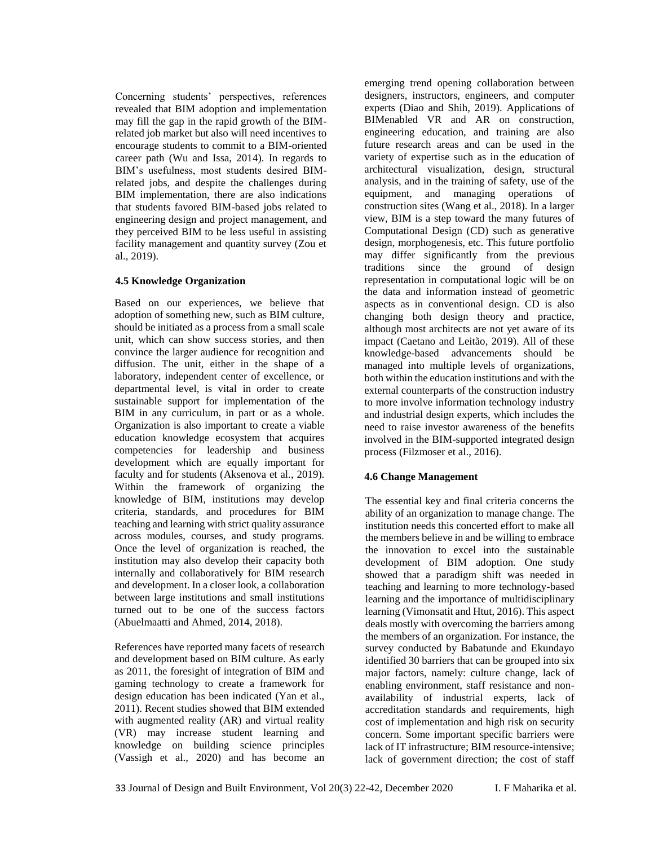Concerning students' perspectives, references revealed that BIM adoption and implementation may fill the gap in the rapid growth of the BIMrelated job market but also will need incentives to encourage students to commit to a BIM-oriented career path (Wu and Issa, 2014). In regards to BIM's usefulness, most students desired BIMrelated jobs, and despite the challenges during BIM implementation, there are also indications that students favored BIM-based jobs related to engineering design and project management, and they perceived BIM to be less useful in assisting facility management and quantity survey (Zou et al., 2019).

#### **4.5 Knowledge Organization**

Based on our experiences, we believe that adoption of something new, such as BIM culture, should be initiated as a process from a small scale unit, which can show success stories, and then convince the larger audience for recognition and diffusion. The unit, either in the shape of a laboratory, independent center of excellence, or departmental level, is vital in order to create sustainable support for implementation of the BIM in any curriculum, in part or as a whole. Organization is also important to create a viable education knowledge ecosystem that acquires competencies for leadership and business development which are equally important for faculty and for students (Aksenova et al., 2019). Within the framework of organizing the knowledge of BIM, institutions may develop criteria, standards, and procedures for BIM teaching and learning with strict quality assurance across modules, courses, and study programs. Once the level of organization is reached, the institution may also develop their capacity both internally and collaboratively for BIM research and development. In a closer look, a collaboration between large institutions and small institutions turned out to be one of the success factors (Abuelmaatti and Ahmed, 2014, 2018).

References have reported many facets of research and development based on BIM culture. As early as 2011, the foresight of integration of BIM and gaming technology to create a framework for design education has been indicated (Yan et al., 2011). Recent studies showed that BIM extended with augmented reality (AR) and virtual reality (VR) may increase student learning and knowledge on building science principles (Vassigh et al., 2020) and has become an emerging trend opening collaboration between designers, instructors, engineers, and computer experts (Diao and Shih, 2019). Applications of BIMenabled VR and AR on construction, engineering education, and training are also future research areas and can be used in the variety of expertise such as in the education of architectural visualization, design, structural analysis, and in the training of safety, use of the equipment, and managing operations of construction sites (Wang et al., 2018). In a larger view, BIM is a step toward the many futures of Computational Design (CD) such as generative design, morphogenesis, etc. This future portfolio may differ significantly from the previous traditions since the ground of design representation in computational logic will be on the data and information instead of geometric aspects as in conventional design. CD is also changing both design theory and practice, although most architects are not yet aware of its impact (Caetano and Leitão, 2019). All of these knowledge-based advancements should be managed into multiple levels of organizations, both within the education institutions and with the external counterparts of the construction industry to more involve information technology industry and industrial design experts, which includes the need to raise investor awareness of the benefits involved in the BIM-supported integrated design process (Filzmoser et al., 2016).

## **4.6 Change Management**

The essential key and final criteria concerns the ability of an organization to manage change. The institution needs this concerted effort to make all the members believe in and be willing to embrace the innovation to excel into the sustainable development of BIM adoption. One study showed that a paradigm shift was needed in teaching and learning to more technology-based learning and the importance of multidisciplinary learning (Vimonsatit and Htut, 2016). This aspect deals mostly with overcoming the barriers among the members of an organization. For instance, the survey conducted by Babatunde and Ekundayo identified 30 barriers that can be grouped into six major factors, namely: culture change, lack of enabling environment, staff resistance and nonavailability of industrial experts, lack of accreditation standards and requirements, high cost of implementation and high risk on security concern. Some important specific barriers were lack of IT infrastructure; BIM resource-intensive; lack of government direction; the cost of staff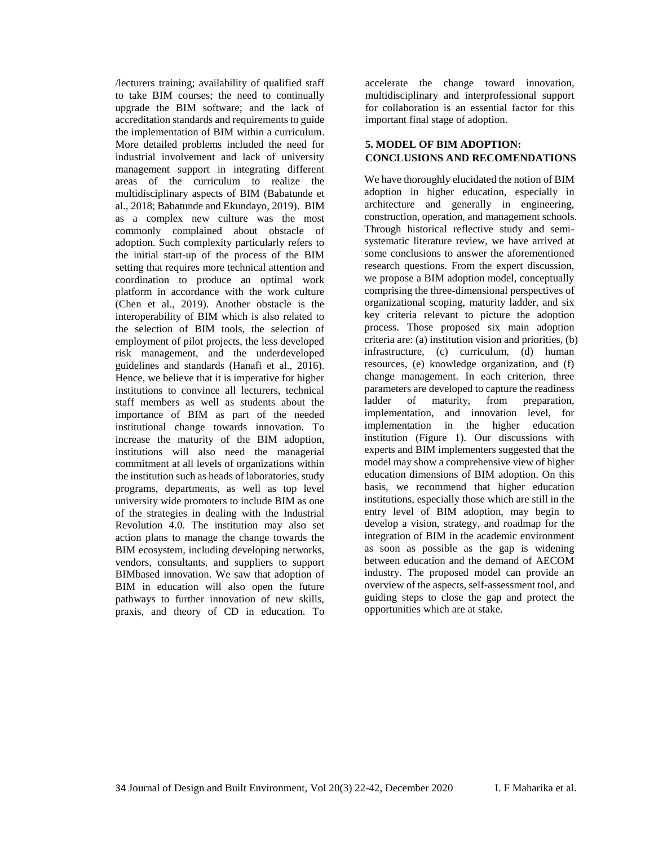/lecturers training; availability of qualified staff to take BIM courses; the need to continually upgrade the BIM software; and the lack of accreditation standards and requirements to guide the implementation of BIM within a curriculum. More detailed problems included the need for industrial involvement and lack of university management support in integrating different areas of the curriculum to realize the multidisciplinary aspects of BIM (Babatunde et al., 2018; Babatunde and Ekundayo, 2019). BIM as a complex new culture was the most commonly complained about obstacle of adoption. Such complexity particularly refers to the initial start-up of the process of the BIM setting that requires more technical attention and coordination to produce an optimal work platform in accordance with the work culture (Chen et al., 2019). Another obstacle is the interoperability of BIM which is also related to the selection of BIM tools, the selection of employment of pilot projects, the less developed risk management, and the underdeveloped guidelines and standards (Hanafi et al., 2016). Hence, we believe that it is imperative for higher institutions to convince all lecturers, technical staff members as well as students about the importance of BIM as part of the needed institutional change towards innovation. To increase the maturity of the BIM adoption, institutions will also need the managerial commitment at all levels of organizations within the institution such as heads of laboratories, study programs, departments, as well as top level university wide promoters to include BIM as one of the strategies in dealing with the Industrial Revolution 4.0. The institution may also set action plans to manage the change towards the BIM ecosystem, including developing networks, vendors, consultants, and suppliers to support BIMbased innovation. We saw that adoption of BIM in education will also open the future pathways to further innovation of new skills, praxis, and theory of CD in education. To

accelerate the change toward innovation, multidisciplinary and interprofessional support for collaboration is an essential factor for this important final stage of adoption.

## **5. MODEL OF BIM ADOPTION: CONCLUSIONS AND RECOMENDATIONS**

We have thoroughly elucidated the notion of BIM adoption in higher education, especially in architecture and generally in engineering, construction, operation, and management schools. Through historical reflective study and semisystematic literature review, we have arrived at some conclusions to answer the aforementioned research questions. From the expert discussion, we propose a BIM adoption model, conceptually comprising the three-dimensional perspectives of organizational scoping, maturity ladder, and six key criteria relevant to picture the adoption process. Those proposed six main adoption criteria are: (a) institution vision and priorities, (b) infrastructure, (c) curriculum, (d) human resources, (e) knowledge organization, and (f) change management. In each criterion, three parameters are developed to capture the readiness ladder of maturity, from preparation, implementation, and innovation level, for implementation in the higher education institution (Figure 1). Our discussions with experts and BIM implementers suggested that the model may show a comprehensive view of higher education dimensions of BIM adoption. On this basis, we recommend that higher education institutions, especially those which are still in the entry level of BIM adoption, may begin to develop a vision, strategy, and roadmap for the integration of BIM in the academic environment as soon as possible as the gap is widening between education and the demand of AECOM industry. The proposed model can provide an overview of the aspects, self-assessment tool, and guiding steps to close the gap and protect the opportunities which are at stake.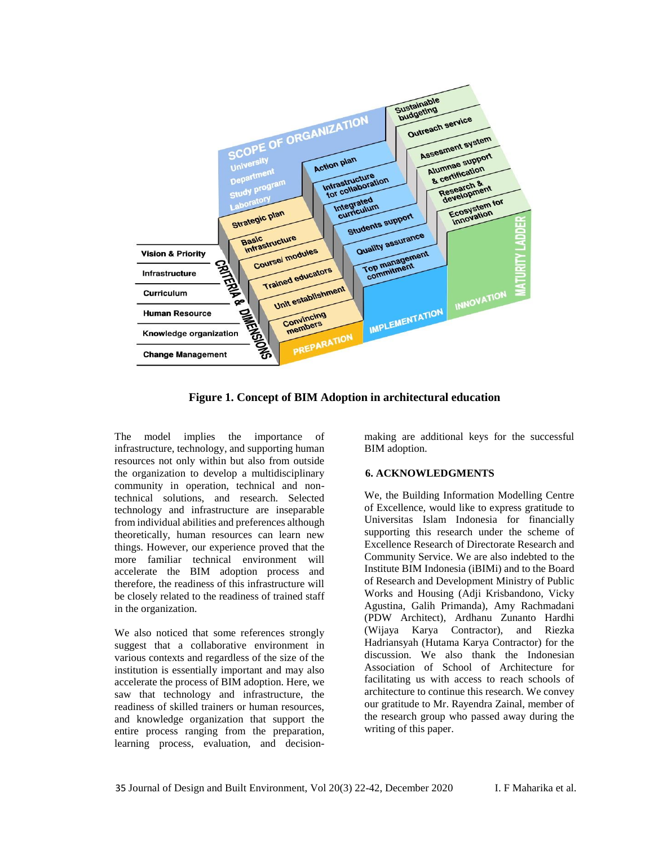

**Figure 1. Concept of BIM Adoption in architectural education**

The model implies the importance of infrastructure, technology, and supporting human resources not only within but also from outside the organization to develop a multidisciplinary community in operation, technical and nontechnical solutions, and research. Selected technology and infrastructure are inseparable from individual abilities and preferences although theoretically, human resources can learn new things. However, our experience proved that the more familiar technical environment will accelerate the BIM adoption process and therefore, the readiness of this infrastructure will be closely related to the readiness of trained staff in the organization.

We also noticed that some references strongly suggest that a collaborative environment in various contexts and regardless of the size of the institution is essentially important and may also accelerate the process of BIM adoption. Here, we saw that technology and infrastructure, the readiness of skilled trainers or human resources, and knowledge organization that support the entire process ranging from the preparation, learning process, evaluation, and decisionmaking are additional keys for the successful BIM adoption.

# **6. ACKNOWLEDGMENTS**

We, the Building Information Modelling Centre of Excellence, would like to express gratitude to Universitas Islam Indonesia for financially supporting this research under the scheme of Excellence Research of Directorate Research and Community Service. We are also indebted to the Institute BIM Indonesia (iBIMi) and to the Board of Research and Development Ministry of Public Works and Housing (Adji Krisbandono, Vicky Agustina, Galih Primanda), Amy Rachmadani (PDW Architect), Ardhanu Zunanto Hardhi (Wijaya Karya Contractor), and Riezka Hadriansyah (Hutama Karya Contractor) for the discussion. We also thank the Indonesian Association of School of Architecture for facilitating us with access to reach schools of architecture to continue this research. We convey our gratitude to Mr. Rayendra Zainal, member of the research group who passed away during the writing of this paper.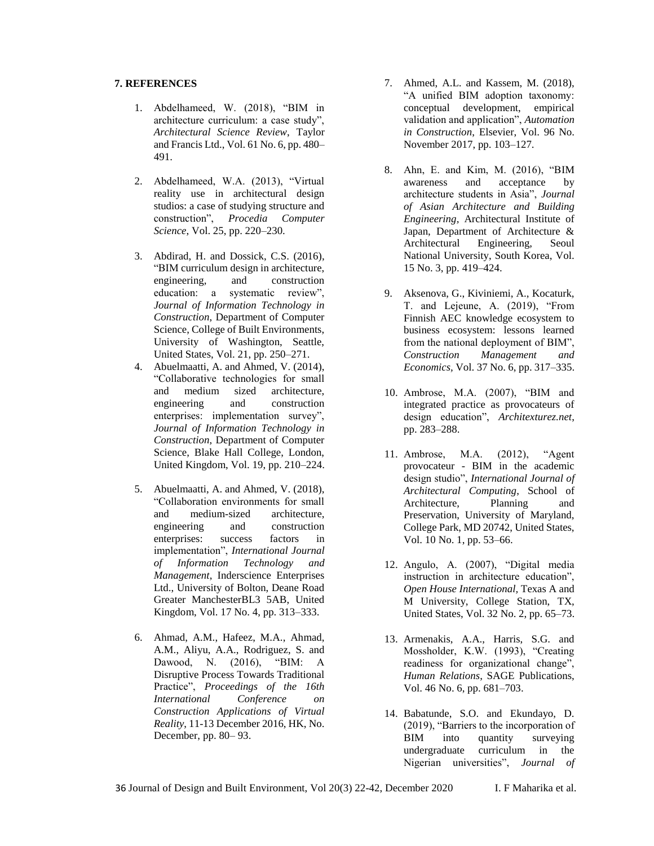#### **7. REFERENCES**

- 1. Abdelhameed, W. (2018), "BIM in architecture curriculum: a case study", *Architectural Science Review*, Taylor and Francis Ltd., Vol. 61 No. 6, pp. 480– 491.
- 2. Abdelhameed, W.A. (2013), "Virtual reality use in architectural design studios: a case of studying structure and construction", *Procedia Computer Science*, Vol. 25, pp. 220–230.
- 3. Abdirad, H. and Dossick, C.S. (2016), "BIM curriculum design in architecture, engineering, and construction education: a systematic review", *Journal of Information Technology in Construction*, Department of Computer Science, College of Built Environments, University of Washington, Seattle, United States, Vol. 21, pp. 250–271.
- 4. Abuelmaatti, A. and Ahmed, V. (2014), "Collaborative technologies for small and medium sized architecture, engineering and construction enterprises: implementation survey", *Journal of Information Technology in Construction*, Department of Computer Science, Blake Hall College, London, United Kingdom, Vol. 19, pp. 210–224.
- 5. Abuelmaatti, A. and Ahmed, V. (2018), "Collaboration environments for small and medium-sized architecture, engineering and construction enterprises: success factors in implementation", *International Journal of Information Technology and Management*, Inderscience Enterprises Ltd., University of Bolton, Deane Road Greater ManchesterBL3 5AB, United Kingdom, Vol. 17 No. 4, pp. 313–333.
- 6. Ahmad, A.M., Hafeez, M.A., Ahmad, A.M., Aliyu, A.A., Rodriguez, S. and Dawood, N. (2016), "BIM: A Disruptive Process Towards Traditional Practice", *Proceedings of the 16th International Conference on Construction Applications of Virtual Reality*, 11-13 December 2016, HK, No. December, pp. 80– 93.
- 7. Ahmed, A.L. and Kassem, M. (2018), "A unified BIM adoption taxonomy: conceptual development, empirical validation and application", *Automation in Construction*, Elsevier, Vol. 96 No. November 2017, pp. 103–127.
- 8. Ahn, E. and Kim, M. (2016), "BIM awareness and acceptance by architecture students in Asia", *Journal of Asian Architecture and Building Engineering,* Architectural Institute of Japan, Department of Architecture & Architectural Engineering, Seoul National University, South Korea, Vol. 15 No. 3, pp. 419–424.
- 9. Aksenova, G., Kiviniemi, A., Kocaturk, T. and Lejeune, A. (2019), "From Finnish AEC knowledge ecosystem to business ecosystem: lessons learned from the national deployment of BIM", *Construction Management and Economics,* Vol. 37 No. 6, pp. 317–335.
- 10. Ambrose, M.A. (2007), "BIM and integrated practice as provocateurs of design education", *Architexturez.net*, pp. 283–288.
- 11. Ambrose, M.A. (2012), "Agent provocateur - BIM in the academic design studio", *International Journal of Architectural Computing*, School of Architecture, Planning and Preservation, University of Maryland, College Park, MD 20742, United States, Vol. 10 No. 1, pp. 53–66.
- 12. Angulo, A. (2007), "Digital media instruction in architecture education", *Open House International,* Texas A and M University, College Station, TX, United States, Vol. 32 No. 2, pp. 65–73.
- 13. Armenakis, A.A., Harris, S.G. and Mossholder, K.W. (1993), "Creating readiness for organizational change", *Human Relations*, SAGE Publications, Vol. 46 No. 6, pp. 681–703.
- 14. Babatunde, S.O. and Ekundayo, D. (2019), "Barriers to the incorporation of BIM into quantity surveying undergraduate curriculum in the Nigerian universities", *Journal of*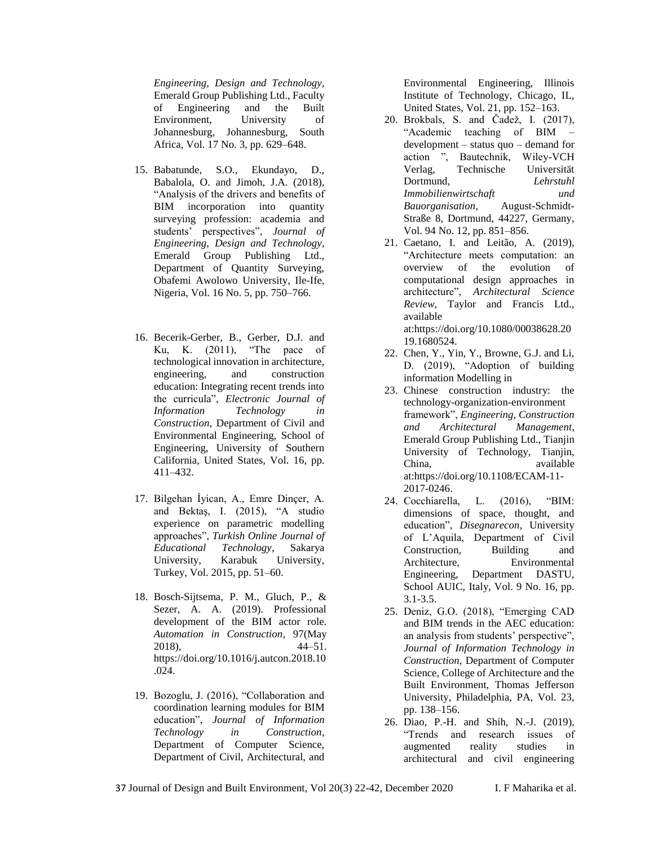*Engineering, Design and Technology,* Emerald Group Publishing Ltd., Faculty<br>of Engineering and the Built of Engineering and the Built Environment, University of Johannesburg, Johannesburg, South Africa, Vol. 17 No. 3, pp. 629–648.

- 15. Babatunde, S.O., Ekundayo, D., Babalola, O. and Jimoh, J.A. (2018), "Analysis of the drivers and benefits of BIM incorporation into quantity surveying profession: academia and students' perspectives", *Journal of Engineering, Design and Technology*, Emerald Group Publishing Ltd., Department of Quantity Surveying, Obafemi Awolowo University, Ile-Ife, Nigeria, Vol. 16 No. 5, pp. 750–766.
- 16. Becerik-Gerber, B., Gerber, D.J. and Ku, K. (2011), "The pace of technological innovation in architecture, engineering, and construction education: Integrating recent trends into the curricula", *Electronic Journal of Information Technology in Construction*, Department of Civil and Environmental Engineering, School of Engineering, University of Southern California, United States, Vol. 16, pp. 411–432.
- 17. Bilgehan İyican, A., Emre Dinçer, A. and Bektaş, I. (2015), "A studio experience on parametric modelling approaches", *Turkish Online Journal of Educational Technology*, Sakarya University, Karabuk University, Turkey, Vol. 2015, pp. 51–60.
- 18. Bosch-Sijtsema, P. M., Gluch, P., & Sezer, A. A. (2019). Professional development of the BIM actor role. *Automation in Construction*, 97(May 2018), 44–51. https://doi.org/10.1016/j.autcon.2018.10 .024.
- 19. Bozoglu, J. (2016), "Collaboration and coordination learning modules for BIM education", *Journal of Information Technology in Construction*, Department of Computer Science, Department of Civil, Architectural, and

Environmental Engineering, Illinois Institute of Technology, Chicago, IL, United States, Vol. 21, pp. 152–163.

- 20. Brokbals, S. and Čadež, I. (2017), "Academic teaching of BIM – development – status quo – demand for action ", Bautechnik, Wiley-VCH Verlag, Technische Universität Dortmund, *Lehrstuhl Immobilienwirtschaft und Bauorganisation*, August-Schmidt-Straße 8, Dortmund, 44227, Germany, Vol. 94 No. 12, pp. 851–856.
- 21. Caetano, I. and Leitão, A. (2019), "Architecture meets computation: an overview of the evolution of computational design approaches in architecture", *Architectural Science Review*, Taylor and Francis Ltd., available at:https://doi.org/10.1080/00038628.20 19.1680524.
- 22. Chen, Y., Yin, Y., Browne, G.J. and Li, D. (2019), "Adoption of building information Modelling in
- 23. Chinese construction industry: the technology-organization-environment framework", *Engineering, Construction and Architectural Management*, Emerald Group Publishing Ltd., Tianjin University of Technology, Tianjin, China, available at:https://doi.org/10.1108/ECAM-11- 2017-0246.
- 24. Cocchiarella, L. (2016), "BIM: dimensions of space, thought, and education", *Disegnarecon*, University of L'Aquila, Department of Civil Construction, Building and Architecture, Environmental Engineering, Department DASTU, School AUIC, Italy, Vol. 9 No. 16, pp. 3.1-3.5.
- 25. Deniz, G.O. (2018), "Emerging CAD and BIM trends in the AEC education: an analysis from students' perspective", *Journal of Information Technology in Construction*, Department of Computer Science, College of Architecture and the Built Environment, Thomas Jefferson University, Philadelphia, PA, Vol. 23, pp. 138–156.
- 26. Diao, P.-H. and Shih, N.-J. (2019), "Trends and research issues of augmented reality studies in architectural and civil engineering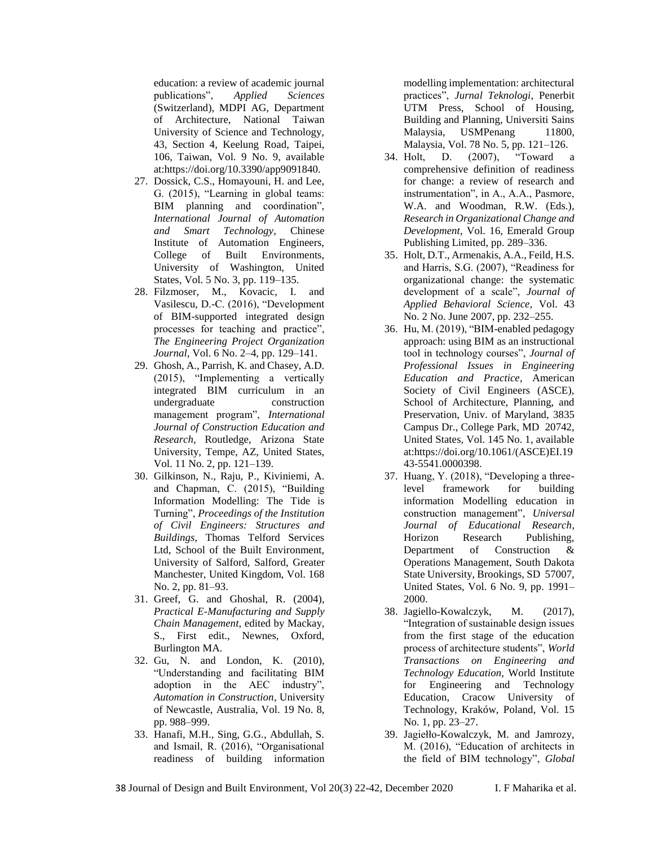education: a review of academic journal publications", *Applied Sciences* (Switzerland), MDPI AG, Department of Architecture, National Taiwan University of Science and Technology, 43, Section 4, Keelung Road, Taipei, 106, Taiwan, Vol. 9 No. 9, available at:https://doi.org/10.3390/app9091840.

- 27. Dossick, C.S., Homayouni, H. and Lee, G. (2015), "Learning in global teams: BIM planning and coordination", *International Journal of Automation and Smart Technology*, Chinese Institute of Automation Engineers, College of Built Environments, University of Washington, United States, Vol. 5 No. 3, pp. 119–135.
- 28. Filzmoser, M., Kovacic, I. and Vasilescu, D.-C. (2016), "Development of BIM-supported integrated design processes for teaching and practice", *The Engineering Project Organization Journal*, Vol. 6 No. 2–4, pp. 129–141.
- 29. Ghosh, A., Parrish, K. and Chasey, A.D. (2015), "Implementing a vertically integrated BIM curriculum in an undergraduate construction management program", *International Journal of Construction Education and Research,* Routledge, Arizona State University, Tempe, AZ, United States, Vol. 11 No. 2, pp. 121–139.
- 30. Gilkinson, N., Raju, P., Kiviniemi, A. and Chapman, C. (2015), "Building Information Modelling: The Tide is Turning", *Proceedings of the Institution of Civil Engineers: Structures and Buildings,* Thomas Telford Services Ltd, School of the Built Environment, University of Salford, Salford, Greater Manchester, United Kingdom, Vol. 168 No. 2, pp. 81–93.
- 31. Greef, G. and Ghoshal, R. (2004), *Practical E-Manufacturing and Supply Chain Management*, edited by Mackay, S., First edit., Newnes, Oxford, Burlington MA.
- 32. Gu, N. and London, K. (2010), "Understanding and facilitating BIM adoption in the AEC industry", *Automation in Construction*, University of Newcastle, Australia, Vol. 19 No. 8, pp. 988–999.
- 33. Hanafi, M.H., Sing, G.G., Abdullah, S. and Ismail, R. (2016), "Organisational readiness of building information

modelling implementation: architectural practices", *Jurnal Teknologi*, Penerbit UTM Press, School of Housing, Building and Planning, Universiti Sains Malaysia, USMPenang 11800, Malaysia, Vol. 78 No. 5, pp. 121–126.

- 34. Holt, D. (2007), "Toward a comprehensive definition of readiness for change: a review of research and instrumentation", in A., A.A., Pasmore, W.A. and Woodman, R.W. (Eds.), *Research in Organizational Change and Development*, Vol. 16, Emerald Group Publishing Limited, pp. 289–336.
- 35. Holt, D.T., Armenakis, A.A., Feild, H.S. and Harris, S.G. (2007), "Readiness for organizational change: the systematic development of a scale", *Journal of Applied Behavioral Science*, Vol. 43 No. 2 No. June 2007, pp. 232–255.
- 36. Hu, M. (2019), "BIM-enabled pedagogy approach: using BIM as an instructional tool in technology courses", *Journal of Professional Issues in Engineering Education and Practice*, American Society of Civil Engineers (ASCE), School of Architecture, Planning, and Preservation, Univ. of Maryland, 3835 Campus Dr., College Park, MD 20742, United States, Vol. 145 No. 1, available at:https://doi.org/10.1061/(ASCE)EI.19 43-5541.0000398.
- 37. Huang, Y. (2018), "Developing a threelevel framework for building information Modelling education in construction management", *Universal Journal of Educational Research*, Horizon Research Publishing, Department of Construction & Operations Management, South Dakota State University, Brookings, SD 57007, United States, Vol. 6 No. 9, pp. 1991– 2000.
- 38. Jagiello-Kowalczyk, M. (2017), "Integration of sustainable design issues from the first stage of the education process of architecture students", *World Transactions on Engineering and Technology Education,* World Institute for Engineering and Technology Education, Cracow University of Technology, Kraków, Poland, Vol. 15 No. 1, pp. 23–27.
- 39. Jagiełło-Kowalczyk, M. and Jamrozy, M. (2016), "Education of architects in the field of BIM technology", *Global*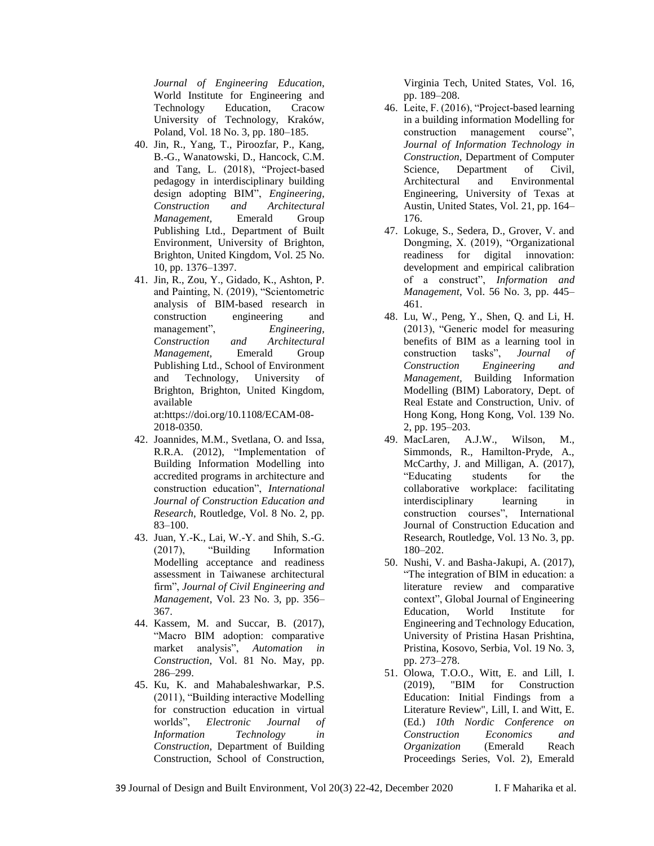*Journal of Engineering Education*, World Institute for Engineering and Technology Education, Cracow University of Technology, Kraków, Poland, Vol. 18 No. 3, pp. 180–185.

- 40. Jin, R., Yang, T., Piroozfar, P., Kang, B.-G., Wanatowski, D., Hancock, C.M. and Tang, L. (2018), "Project-based pedagogy in interdisciplinary building design adopting BIM", *Engineering, Construction and Architectural Management,* Emerald Group Publishing Ltd., Department of Built Environment, University of Brighton, Brighton, United Kingdom, Vol. 25 No. 10, pp. 1376–1397.
- 41. Jin, R., Zou, Y., Gidado, K., Ashton, P. and Painting, N. (2019), "Scientometric analysis of BIM-based research in construction engineering and management", *Engineering, Construction and Architectural Management,* Emerald Group Publishing Ltd., School of Environment and Technology, University of Brighton, Brighton, United Kingdom, available

at:https://doi.org/10.1108/ECAM-08- 2018-0350.

- 42. Joannides, M.M., Svetlana, O. and Issa, R.R.A. (2012), "Implementation of Building Information Modelling into accredited programs in architecture and construction education", *International Journal of Construction Education and Research*, Routledge, Vol. 8 No. 2, pp. 83–100.
- 43. Juan, Y.-K., Lai, W.-Y. and Shih, S.-G. (2017), "Building Information Modelling acceptance and readiness assessment in Taiwanese architectural firm", *Journal of Civil Engineering and Management*, Vol. 23 No. 3, pp. 356– 367.
- 44. Kassem, M. and Succar, B. (2017), "Macro BIM adoption: comparative market analysis", *Automation in Construction*, Vol. 81 No. May, pp. 286–299.
- 45. Ku, K. and Mahabaleshwarkar, P.S. (2011), "Building interactive Modelling for construction education in virtual worlds", *Electronic Journal of Information Technology in Construction*, Department of Building Construction, School of Construction,

Virginia Tech, United States, Vol. 16, pp. 189–208.

- 46. Leite, F. (2016), "Project-based learning in a building information Modelling for construction management course", *Journal of Information Technology in Construction,* Department of Computer Science, Department of Civil, Architectural and Environmental Engineering, University of Texas at Austin, United States, Vol. 21, pp. 164– 176.
- 47. Lokuge, S., Sedera, D., Grover, V. and Dongming, X. (2019), "Organizational readiness for digital innovation: development and empirical calibration of a construct", *Information and Management*, Vol. 56 No. 3, pp. 445– 461.
- 48. Lu, W., Peng, Y., Shen, Q. and Li, H. (2013), "Generic model for measuring benefits of BIM as a learning tool in construction tasks", *Journal of Construction Engineering and Management,* Building Information Modelling (BIM) Laboratory, Dept. of Real Estate and Construction, Univ. of Hong Kong, Hong Kong, Vol. 139 No. 2, pp. 195–203.
- 49. MacLaren, A.J.W., Wilson, M., Simmonds, R., Hamilton-Pryde, A., McCarthy, J. and Milligan, A. (2017), "Educating students for the collaborative workplace: facilitating interdisciplinary learning in construction courses", International Journal of Construction Education and Research, Routledge, Vol. 13 No. 3, pp. 180–202.
- 50. Nushi, V. and Basha-Jakupi, A. (2017), "The integration of BIM in education: a literature review and comparative context", Global Journal of Engineering Education, World Institute for Engineering and Technology Education, University of Pristina Hasan Prishtina, Pristina, Kosovo, Serbia, Vol. 19 No. 3, pp. 273–278.
- 51. Olowa, T.O.O., Witt, E. and Lill, I. (2019), "BIM for Construction Education: Initial Findings from a Literature Review", Lill, I. and Witt, E. (Ed.) *10th Nordic Conference on Construction Economics and Organization* (Emerald Reach Proceedings Series, Vol. 2), Emerald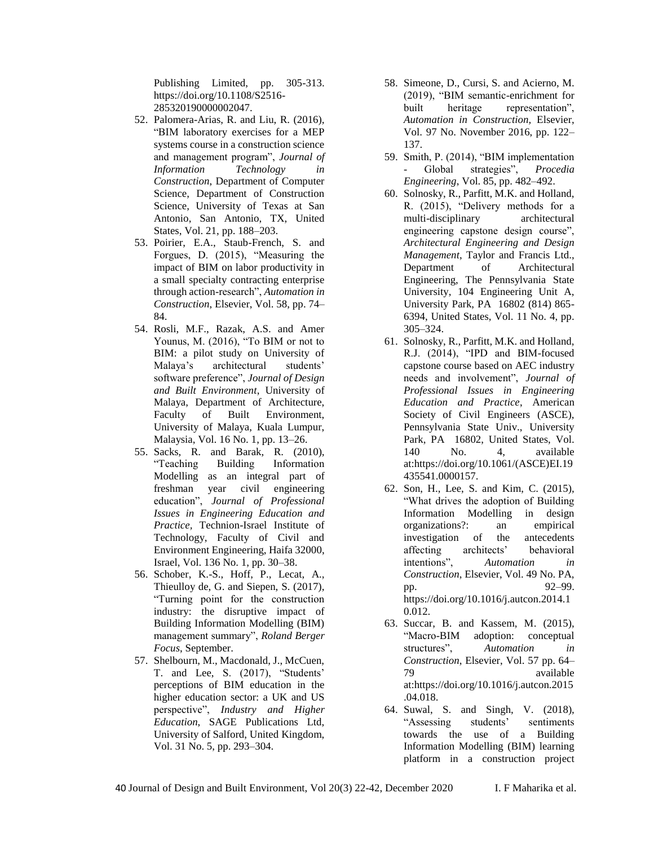Publishing Limited, pp. 305-313. https://doi.org/10.1108/S2516- 285320190000002047.

- 52. Palomera-Arias, R. and Liu, R. (2016), "BIM laboratory exercises for a MEP systems course in a construction science and management program", *Journal of Information Technology in Construction*, Department of Computer Science, Department of Construction Science, University of Texas at San Antonio, San Antonio, TX, United States, Vol. 21, pp. 188–203.
- 53. Poirier, E.A., Staub-French, S. and Forgues, D. (2015), "Measuring the impact of BIM on labor productivity in a small specialty contracting enterprise through action-research", *Automation in Construction*, Elsevier, Vol. 58, pp. 74– 84.
- 54. Rosli, M.F., Razak, A.S. and Amer Younus, M. (2016), "To BIM or not to BIM: a pilot study on University of Malaya's architectural students' software preference", *Journal of Design and Built Environment*, University of Malaya, Department of Architecture, Faculty of Built Environment, University of Malaya, Kuala Lumpur, Malaysia, Vol. 16 No. 1, pp. 13–26.
- 55. Sacks, R. and Barak, R. (2010),<br>
"Teaching Building Information" Building Information Modelling as an integral part of freshman year civil engineering education", *Journal of Professional Issues in Engineering Education and Practice,* Technion-Israel Institute of Technology, Faculty of Civil and Environment Engineering, Haifa 32000, Israel, Vol. 136 No. 1, pp. 30–38.
- 56. Schober, K.-S., Hoff, P., Lecat, A., Thieulloy de, G. and Siepen, S. (2017), "Turning point for the construction industry: the disruptive impact of Building Information Modelling (BIM) management summary", *Roland Berger Focus*, September.
- 57. Shelbourn, M., Macdonald, J., McCuen, T. and Lee, S. (2017), "Students' perceptions of BIM education in the higher education sector: a UK and US perspective", *Industry and Higher Education*, SAGE Publications Ltd, University of Salford, United Kingdom, Vol. 31 No. 5, pp. 293–304.
- 58. Simeone, D., Cursi, S. and Acierno, M. (2019), "BIM semantic-enrichment for built heritage representation", *Automation in Construction,* Elsevier, Vol. 97 No. November 2016, pp. 122– 137.
- 59. Smith, P. (2014), "BIM implementation - Global strategies", *Procedia Engineering*, Vol. 85, pp. 482–492.
- 60. Solnosky, R., Parfitt, M.K. and Holland, R. (2015), "Delivery methods for a multi-disciplinary architectural engineering capstone design course", *Architectural Engineering and Design Management*, Taylor and Francis Ltd., Department of Architectural Engineering, The Pennsylvania State University, 104 Engineering Unit A, University Park, PA 16802 (814) 865- 6394, United States, Vol. 11 No. 4, pp. 305–324.
- 61. Solnosky, R., Parfitt, M.K. and Holland, R.J. (2014), "IPD and BIM-focused capstone course based on AEC industry needs and involvement", *Journal of Professional Issues in Engineering Education and Practice*, American Society of Civil Engineers (ASCE), Pennsylvania State Univ., University Park, PA 16802, United States, Vol. 140 No. 4, available at:https://doi.org/10.1061/(ASCE)EI.19 435541.0000157.
- 62. Son, H., Lee, S. and Kim, C. (2015), "What drives the adoption of Building Information Modelling in design organizations?: an empirical investigation of the antecedents affecting architects' behavioral intentions", *Automation in Construction*, Elsevier, Vol. 49 No. PA, pp. 92–99. https://doi.org/10.1016/j.autcon.2014.1 0.012.
- 63. Succar, B. and Kassem, M. (2015), "Macro-BIM adoption: conceptual structures", *Automation in Construction*, Elsevier, Vol. 57 pp. 64– 79 available at:https://doi.org/10.1016/j.autcon.2015 .04.018.
- 64. Suwal, S. and Singh, V. (2018), "Assessing students' sentiments towards the use of a Building Information Modelling (BIM) learning platform in a construction project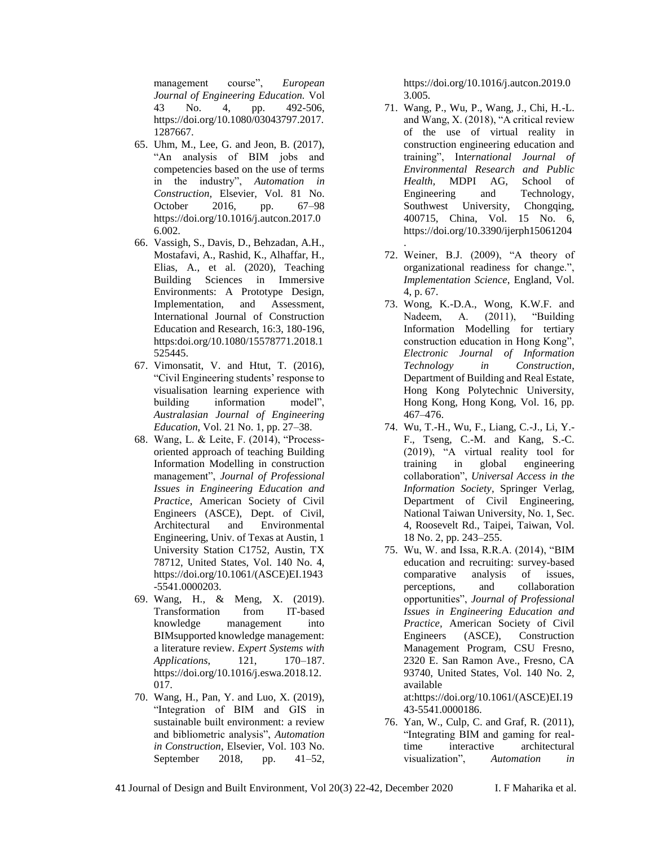management course", *European Journal of Engineering Education.* Vol 43 No. 4, pp. 492-506, https://doi.org/10.1080/03043797.2017. 1287667.

- 65. Uhm, M., Lee, G. and Jeon, B. (2017), "An analysis of BIM jobs and competencies based on the use of terms in the industry", *Automation in Construction,* Elsevier, Vol. 81 No. October 2016, pp. 67–98 https://doi.org/10.1016/j.autcon.2017.0 6.002.
- 66. Vassigh, S., Davis, D., Behzadan, A.H., Mostafavi, A., Rashid, K., Alhaffar, H., Elias, A., et al. (2020), Teaching Building Sciences in Immersive Environments: A Prototype Design, Implementation, and Assessment, International Journal of Construction Education and Research, 16:3, 180-196, https:doi.org/10.1080/15578771.2018.1 525445.
- 67. Vimonsatit, V. and Htut, T. (2016), "Civil Engineering students' response to visualisation learning experience with building information model", *Australasian Journal of Engineering Education*, Vol. 21 No. 1, pp. 27–38.
- 68. Wang, L. & Leite, F. (2014), "Processoriented approach of teaching Building Information Modelling in construction management", *Journal of Professional Issues in Engineering Education and Practice*, American Society of Civil Engineers (ASCE), Dept. of Civil, Architectural and Environmental Engineering, Univ. of Texas at Austin, 1 University Station C1752, Austin, TX 78712, United States, Vol. 140 No. 4, https://doi.org/10.1061/(ASCE)EI.1943 -5541.0000203.
- 69. Wang, H., & Meng, X. (2019). Transformation from IT-based knowledge management into BIMsupported knowledge management: a literature review. *Expert Systems with Applications*, 121, 170–187. https://doi.org/10.1016/j.eswa.2018.12. 017.
- 70. Wang, H., Pan, Y. and Luo, X. (2019), "Integration of BIM and GIS in sustainable built environment: a review and bibliometric analysis", *Automation in Construction*, Elsevier, Vol. 103 No. September 2018, pp. 41–52,

https://doi.org/10.1016/j.autcon.2019.0 3.005.

- 71. Wang, P., Wu, P., Wang, J., Chi, H.-L. and Wang, X. (2018), "A critical review of the use of virtual reality in construction engineering education and training", Int*ernational Journal of Environmental Research and Public Health,* MDPI AG, School of Engineering and Technology, Southwest University, Chongqing, 400715, China, Vol. 15 No. 6, https://doi.org/10.3390/ijerph15061204 .
- 72. Weiner, B.J. (2009), "A theory of organizational readiness for change.", *Implementation Science*, England, Vol. 4, p. 67.
- 73. Wong, K.-D.A., Wong, K.W.F. and Nadeem, A. (2011), "Building Information Modelling for tertiary construction education in Hong Kong", *Electronic Journal of Information Technology in Construction*, Department of Building and Real Estate, Hong Kong Polytechnic University, Hong Kong, Hong Kong, Vol. 16, pp. 467–476.
- 74. Wu, T.-H., Wu, F., Liang, C.-J., Li, Y.- F., Tseng, C.-M. and Kang, S.-C. (2019), "A virtual reality tool for<br>training in global engineering training in global engineering collaboration", *Universal Access in the Information Society*, Springer Verlag, Department of Civil Engineering, National Taiwan University, No. 1, Sec. 4, Roosevelt Rd., Taipei, Taiwan, Vol. 18 No. 2, pp. 243–255.
- 75. Wu, W. and Issa, R.R.A. (2014), "BIM education and recruiting: survey-based comparative analysis of issues, perceptions, and collaboration opportunities", *Journal of Professional Issues in Engineering Education and Practice,* American Society of Civil Engineers (ASCE), Construction Management Program, CSU Fresno, 2320 E. San Ramon Ave., Fresno, CA 93740, United States, Vol. 140 No. 2, available at:https://doi.org/10.1061/(ASCE)EI.19

43-5541.0000186.

76. Yan, W., Culp, C. and Graf, R. (2011), "Integrating BIM and gaming for realtime interactive architectural visualization", *Automation in*